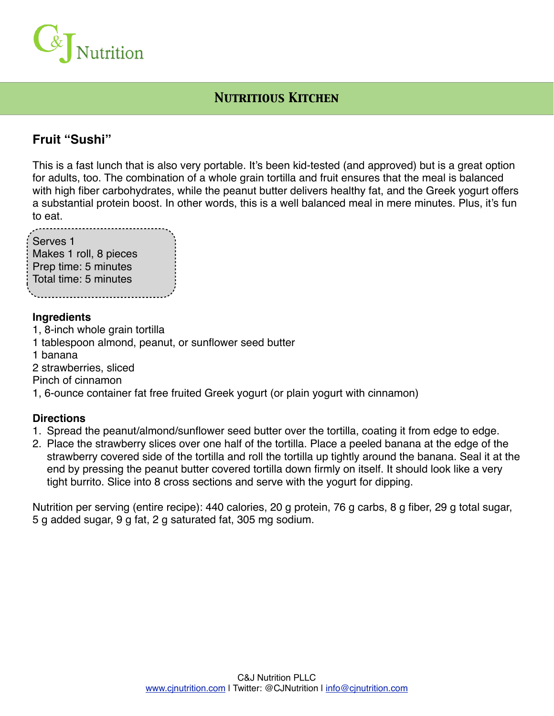

# *Nutritious Kitchen*

## **Fruit "Sushi"**

This is a fast lunch that is also very portable. It's been kid-tested (and approved) but is a great option for adults, too. The combination of a whole grain tortilla and fruit ensures that the meal is balanced with high fiber carbohydrates, while the peanut butter delivers healthy fat, and the Greek yogurt offers a substantial protein boost. In other words, this is a well balanced meal in mere minutes. Plus, it's fun to eat.

| Serves <sub>1</sub>    |  |
|------------------------|--|
| Makes 1 roll, 8 pieces |  |
| Prep time: 5 minutes   |  |
| Total time: 5 minutes  |  |
|                        |  |

#### **Ingredients**

- 1, 8-inch whole grain tortilla
- 1 tablespoon almond, peanut, or sunflower seed butter
- 1 banana
- 2 strawberries, sliced
- Pinch of cinnamon
- 1, 6-ounce container fat free fruited Greek yogurt (or plain yogurt with cinnamon)

#### **Directions**

- 1. Spread the peanut/almond/sunflower seed butter over the tortilla, coating it from edge to edge.
- 2. Place the strawberry slices over one half of the tortilla. Place a peeled banana at the edge of the strawberry covered side of the tortilla and roll the tortilla up tightly around the banana. Seal it at the end by pressing the peanut butter covered tortilla down firmly on itself. It should look like a very tight burrito. Slice into 8 cross sections and serve with the yogurt for dipping.

Nutrition per serving (entire recipe): 440 calories, 20 g protein, 76 g carbs, 8 g fiber, 29 g total sugar, 5 g added sugar, 9 g fat, 2 g saturated fat, 305 mg sodium.